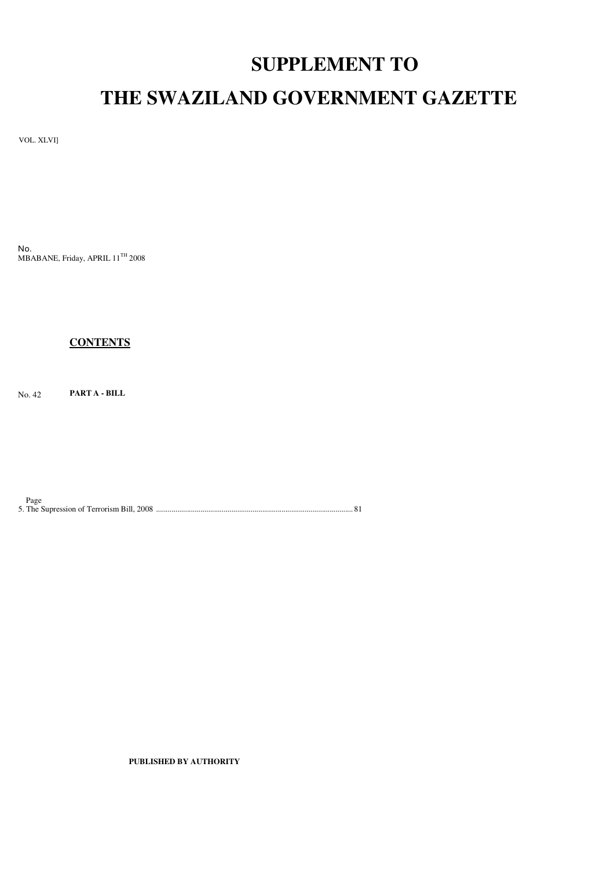# **SUPPLEMENT TO**

# **THE SWAZILAND GOVERNMENT GAZETTE**

VOL. XLVI]

No. MBABANE, Friday, APRIL 11<sup>TH</sup> 2008

# **CONTENTS**

No. 42 **PART A - BILL**

Page 5. The Supression of Terrorism Bill, 2008 ...................................................................................................... 81

**PUBLISHED BY AUTHORITY**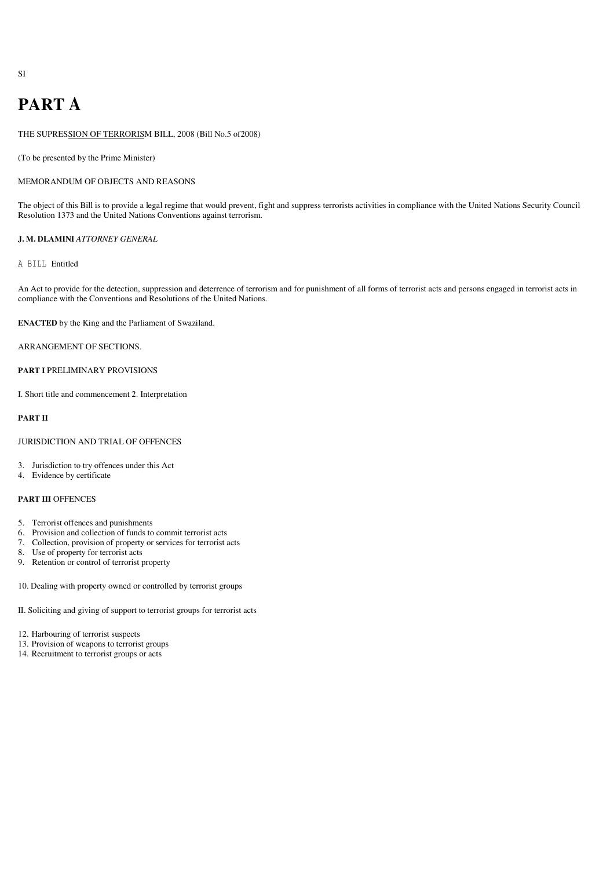# **PART A**

THE SUPRESSION OF TERRORISM BILL, 2008 (Bill No.5 of2008)

(To be presented by the Prime Minister)

# MEMORANDUM OF OBJECTS AND REASONS

The object of this Bill is to provide a legal regime that would prevent, fight and suppress terrorists activities in compliance with the United Nations Security Council Resolution 1373 and the United Nations Conventions against terrorism.

# **J. M. DLAMINI** *ATTORNEY GENERAL*

# A BILL Entitled

An Act to provide for the detection, suppression and deterrence of terrorism and for punishment of all forms of terrorist acts and persons engaged in terrorist acts in compliance with the Conventions and Resolutions of the United Nations.

**ENACTED** by the King and the Parliament of Swaziland.

ARRANGEMENT OF SECTIONS.

# **PART I** PRELIMINARY PROVISIONS

I. Short title and commencement 2. Interpretation

# **PART II**

# JURISDICTION AND TRIAL OF OFFENCES

- 3. Jurisdiction to try offences under this Act
- 4. Evidence by certificate

## **PART III** OFFENCES

- 5. Terrorist offences and punishments
- 6. Provision and collection of funds to commit terrorist acts
- 7. Collection, provision of property or services for terrorist acts
- 8. Use of property for terrorist acts
- 9. Retention or control of terrorist property
- 10. Dealing with property owned or controlled by terrorist groups
- II. Soliciting and giving of support to terrorist groups for terrorist acts
- 12. Harbouring of terrorist suspects
- 13. Provision of weapons to terrorist groups
- 14. Recruitment to terrorist groups or acts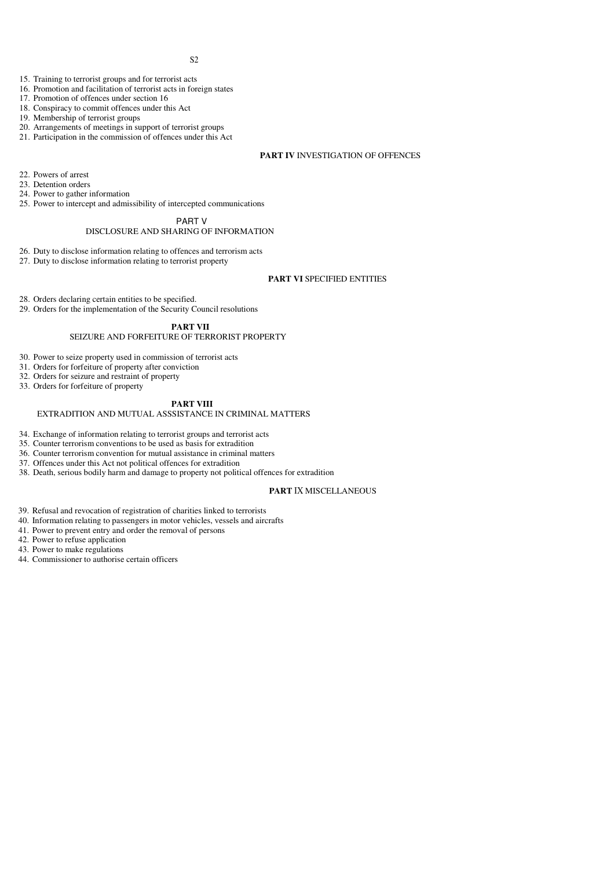- 15. Training to terrorist groups and for terrorist acts
- 16. Framing to terrorist groups and the terrorist acts in foreign states
- 17. Promotion of offences under section 16
- 18. Conspiracy to commit offences under this Act
- 19. Membership of terrorist groups
- 20. Arrangements of meetings in support of terrorist groups
- 21. Participation in the commission of offences under this Act

# **PART IV** INVESTIGATION OF OFFENCES

- 22. Powers of arrest
- 23. Detention orders
- 24. Power to gather information
- 25. Power to intercept and admissibility of intercepted communications

# PART V

# DISCLOSURE AND SHARING OF INFORMATION

- 26. Duty to disclose information relating to offences and terrorism acts
- 27. Duty to disclose information relating to terrorist property

# **PART VI** SPECIFIED ENTITIES

- 28. Orders declaring certain entities to be specified.
- 29. Orders for the implementation of the Security Council resolutions

## **PART VII**

# SEIZURE AND FORFEITURE OF TERRORIST PROPERTY

- 30. Power to seize property used in commission of terrorist acts
- 31. Orders for forfeiture of property after conviction
- 32. Orders for seizure and restraint of property
- 33. Orders for forfeiture of property

# **PART VIII**

# EXTRADITION AND MUTUAL ASSSISTANCE IN CRIMINAL MATTERS

- 34. Exchange of information relating to terrorist groups and terrorist acts
- 35. Counter terrorism conventions to be used as basis for extradition
- 36. Counter terrorism convention for mutual assistance in criminal matters
- 37. Offences under this Act not political offences for extradition
- 38. Death, serious bodily harm and damage to property not political offences for extradition

# **PART** IX MISCELLANEOUS

- 39. Refusal and revocation of registration of charities linked to terrorists
- 40. Information relating to passengers in motor vehicles, vessels and aircrafts
- 41. Power to prevent entry and order the removal of persons
- 42. Power to refuse application
- 43. Power to make regulations
- 44. Commissioner to authorise certain officers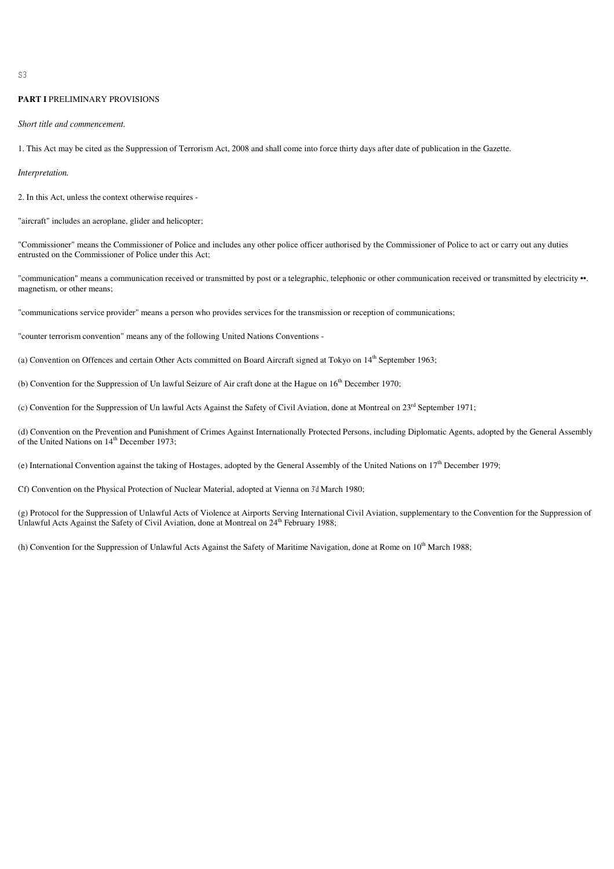$\tilde{S}$ 

# **PART I** PRELIMINARY PROVISIONS

#### *Short title and commencement.*

1. This Act may be cited as the Suppression of Terrorism Act, 2008 and shall come into force thirty days after date of publication in the Gazette.

#### *Interpretation.*

2. In this Act, unless the context otherwise requires -

"aircraft" includes an aeroplane, glider and helicopter;

"Commissioner" means the Commissioner of Police and includes any other police officer authorised by the Commissioner of Police to act or carry out any duties entrusted on the Commissioner of Police under this Act;

"communication" means a communication received or transmitted by post or a telegraphic, telephonic or other communication received or transmitted by electricity  $\cdot \cdot$ . magnetism, or other means;

"communications service provider" means a person who provides services for the transmission or reception of communications;

"counter terrorism convention" means any of the following United Nations Conventions -

(a) Convention on Offences and certain Other Acts committed on Board Aircraft signed at Tokyo on 14<sup>th</sup> September 1963;

(b) Convention for the Suppression of Un lawful Seizure of Air craft done at the Hague on 16<sup>th</sup> December 1970;

(c) Convention for the Suppression of Un lawful Acts Against the Safety of Civil Aviation, done at Montreal on 23<sup>rd</sup> September 1971;

(d) Convention on the Prevention and Punishment of Crimes Against Internationally Protected Persons, including Diplomatic Agents, adopted by the General Assembly of the United Nations on 14<sup>th</sup> December 1973;

(e) International Convention against the taking of Hostages, adopted by the General Assembly of the United Nations on  $17<sup>th</sup>$  December 1979;

Cf) Convention on the Physical Protection of Nuclear Material, adopted at Vienna on 3'd March 1980;

(g) Protocol for the Suppression of Unlawful Acts of Violence at Airports Serving International Civil Aviation, supplementary to the Convention for the Suppression of Unlawful Acts Against the Safety of Civil Aviation, done at Montreal on  $24^{th}$  February 1988;

(h) Convention for the Suppression of Unlawful Acts Against the Safety of Maritime Navigation, done at Rome on 10<sup>th</sup> March 1988;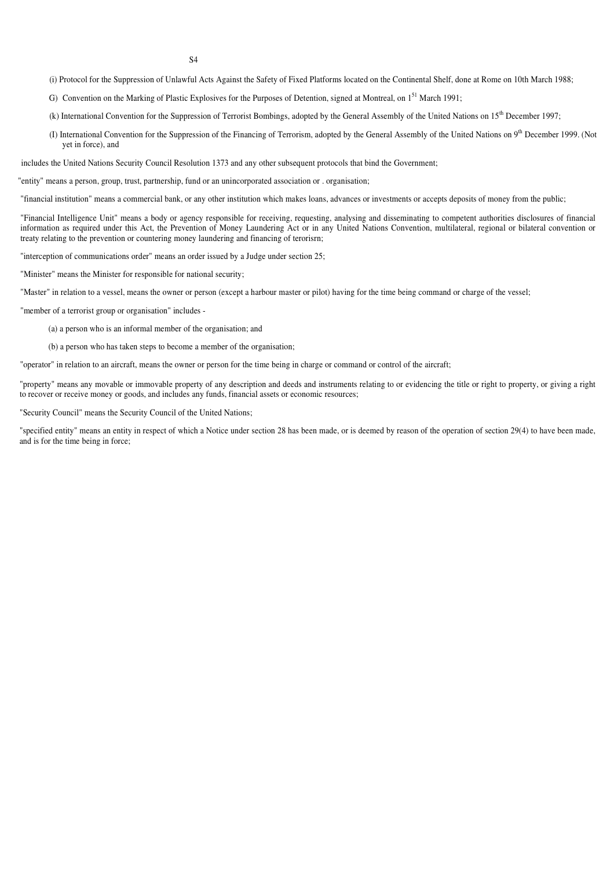- (i) Protocol for the Suppression of Unlawful Acts Against the Safety of Fixed Platforms located on the Continental Shelf, done at Rome on 10th March 1988;
- G) Convention on the Marking of Plastic Explosives for the Purposes of Detention, signed at Montreal, on 1<sup>51</sup> March 1991;
- (k) International Convention for the Suppression of Terrorist Bombings, adopted by the General Assembly of the United Nations on 15<sup>th</sup> December 1997;
- (I) International Convention for the Suppression of the Financing of Terrorism, adopted by the General Assembly of the United Nations on  $9<sup>th</sup>$  December 1999. (Not yet in force), and

includes the United Nations Security Council Resolution 1373 and any other subsequent protocols that bind the Government;

"entity" means a person, group, trust, partnership, fund or an unincorporated association or . organisation;

"financial institution" means a commercial bank, or any other institution which makes loans, advances or investments or accepts deposits of money from the public;

"Financial Intelligence Unit" means a body or agency responsible for receiving, requesting, analysing and disseminating to competent authorities disclosures of financial information as required under this Act, the Prevention of Money Laundering Act or in any United Nations Convention, multilateral, regional or bilateral convention or treaty relating to the prevention or countering money laundering and financing of terorisrn;

"interception of communications order" means an order issued by a Judge under section 25;

"Minister" means the Minister for responsible for national security;

"Master" in relation to a vessel, means the owner or person (except a harbour master or pilot) having for the time being command or charge of the vessel;

"member of a terrorist group or organisation" includes -

(a) a person who is an informal member of the organisation; and

(b) a person who has taken steps to become a member of the organisation;

"operator" in relation to an aircraft, means the owner or person for the time being in charge or command or control of the aircraft;

"property" means any movable or immovable property of any description and deeds and instruments relating to or evidencing the title or right to property, or giving a right to recover or receive money or goods, and includes any funds, financial assets or economic resources;

"Security Council" means the Security Council of the United Nations;

"specified entity" means an entity in respect of which a Notice under section 28 has been made, or is deemed by reason of the operation of section 29(4) to have been made, and is for the time being in force;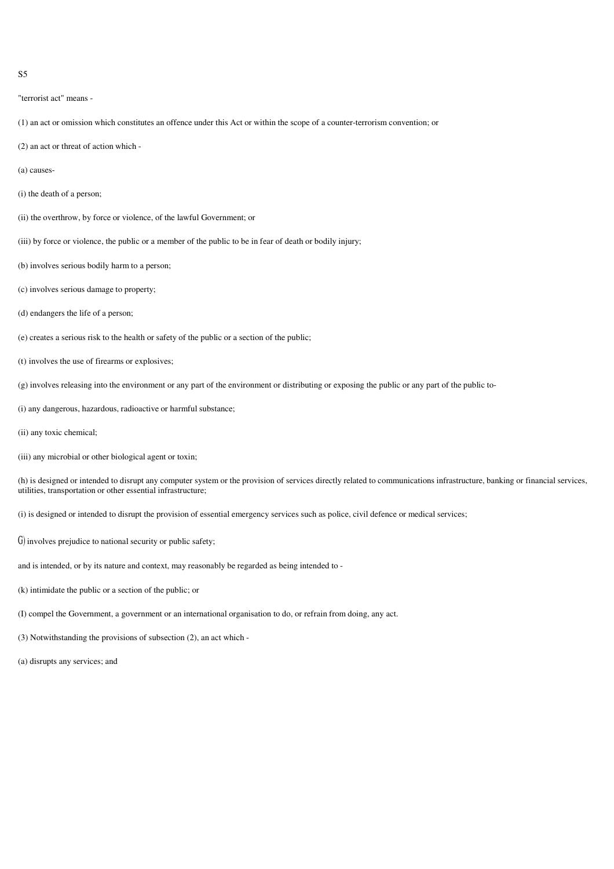```
"terrorist act" means -
```
- (1) an act or omission which constitutes an offence under this Act or within the scope of a counter-terrorism convention; or
- (2) an act or threat of action which -
- (a) causes-
- (i) the death of a person;
- (ii) the overthrow, by force or violence, of the lawful Government; or
- (iii) by force or violence, the public or a member of the public to be in fear of death or bodily injury;
- (b) involves serious bodily harm to a person;
- (c) involves serious damage to property;
- (d) endangers the life of a person;
- (e) creates a serious risk to the health or safety of the public or a section of the public;
- (t) involves the use of firearms or explosives;
- (g) involves releasing into the environment or any part of the environment or distributing or exposing the public or any part of the public to-
- (i) any dangerous, hazardous, radioactive or harmful substance;
- (ii) any toxic chemical;
- (iii) any microbial or other biological agent or toxin;

(h) is designed or intended to disrupt any computer system or the provision of services directly related to communications infrastructure, banking or financial services, utilities, transportation or other essential infrastructure;

(i) is designed or intended to disrupt the provision of essential emergency services such as police, civil defence or medical services;

- G) involves prejudice to national security or public safety;
- and is intended, or by its nature and context, may reasonably be regarded as being intended to -
- (k) intimidate the public or a section of the public; or
- (I) compel the Government, a government or an international organisation to do, or refrain from doing, any act.
- (3) Notwithstanding the provisions of subsection (2), an act which -
- (a) disrupts any services; and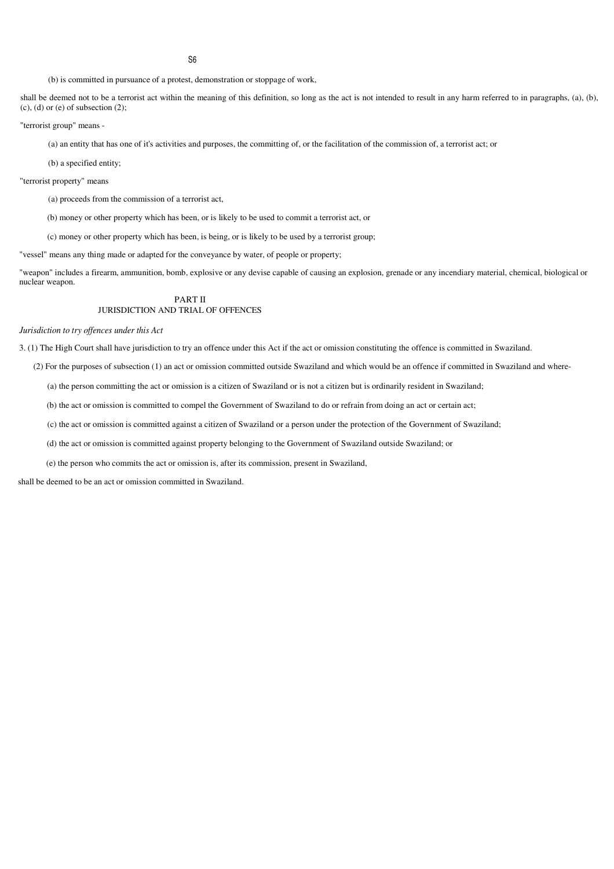**S<sub>6</sub>** 

(b) is committed in pursuance of a protest, demonstration or stoppage of work,

shall be deemed not to be a terrorist act within the meaning of this definition, so long as the act is not intended to result in any harm referred to in paragraphs, (a), (b),  $(c)$ ,  $(d)$  or  $(e)$  of subsection  $(2)$ ;

"terrorist group" means -

(a) an entity that has one of it's activities and purposes, the committing of, or the facilitation of the commission of, a terrorist act; or

(b) a specified entity;

"terrorist property" means

(a) proceeds from the commission of a terrorist act,

(b) money or other property which has been, or is likely to be used to commit a terrorist act, or

(c) money or other property which has been, is being, or is likely to be used by a terrorist group;

"vessel" means any thing made or adapted for the conveyance by water, of people or property;

"weapon" includes a firearm, ammunition, bomb, explosive or any devise capable of causing an explosion, grenade or any incendiary material, chemical, biological or nuclear weapon.

# PART II JURISDICTION AND TRIAL OF OFFENCES

*Jurisdiction to try of ences under this Act*

3. (1) The High Court shall have jurisdiction to try an offence under this Act if the act or omission constituting the offence is committed in Swaziland.

(2) For the purposes of subsection (1) an act or omission committed outside Swaziland and which would be an offence if committed in Swaziland and where-

(a) the person committing the act or omission is a citizen of Swaziland or is not a citizen but is ordinarily resident in Swaziland;

(b) the act or omission is committed to compel the Government of Swaziland to do or refrain from doing an act or certain act;

(c) the act or omission is committed against a citizen of Swaziland or a person under the protection of the Government of Swaziland;

(d) the act or omission is committed against property belonging to the Government of Swaziland outside Swaziland; or

(e) the person who commits the act or omission is, after its commission, present in Swaziland,

shall be deemed to be an act or omission committed in Swaziland.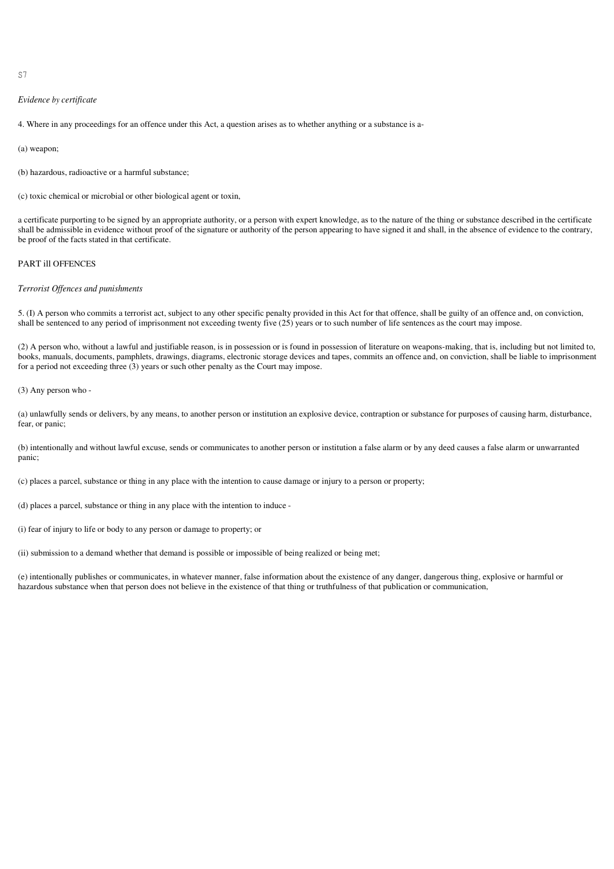$S<sub>7</sub>$ 

## *Evidence by certificate*

4. Where in any proceedings for an offence under this Act, a question arises as to whether anything or a substance is a-

(a) weapon;

(b) hazardous, radioactive or a harmful substance;

(c) toxic chemical or microbial or other biological agent or toxin,

a certificate purporting to be signed by an appropriate authority, or a person with expert knowledge, as to the nature of the thing or substance described in the certificate shall be admissible in evidence without proof of the signature or authority of the person appearing to have signed it and shall, in the absence of evidence to the contrary, be proof of the facts stated in that certificate.

# PART ill OFFENCES

## *Terrorist Offences and punishments*

5. (I) A person who commits a terrorist act, subject to any other specific penalty provided in this Act for that offence, shall be guilty of an offence and, on conviction, shall be sentenced to any period of imprisonment not exceeding twenty five (25) years or to such number of life sentences as the court may impose.

(2) A person who, without a lawful and justifiable reason, is in possession or is found in possession of literature on weapons-making, that is, including but not limited to, books, manuals, documents, pamphlets, drawings, diagrams, electronic storage devices and tapes, commits an offence and, on conviction, shall be liable to imprisonment for a period not exceeding three (3) years or such other penalty as the Court may impose.

(3) Any person who -

(a) unlawfully sends or delivers, by any means, to another person or institution an explosive device, contraption or substance for purposes of causing harm, disturbance, fear, or panic;

(b) intentionally and without lawful excuse, sends or communicates to another person or institution a false alarm or by any deed causes a false alarm or unwarranted panic;

(c) places a parcel, substance or thing in any place with the intention to cause damage or injury to a person or property;

(d) places a parcel, substance or thing in any place with the intention to induce -

(i) fear of injury to life or body to any person or damage to property; or

(ii) submission to a demand whether that demand is possible or impossible of being realized or being met;

(e) intentionally publishes or communicates, in whatever manner, false information about the existence of any danger, dangerous thing, explosive or harmful or hazardous substance when that person does not believe in the existence of that thing or truthfulness of that publication or communication,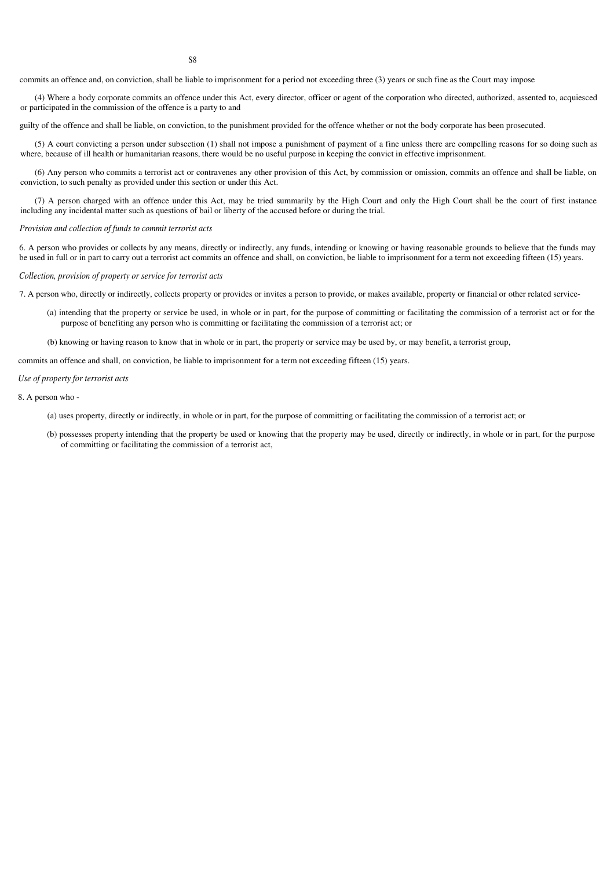commits an offence and, on conviction, shall be liable to imprisonment for a period not exceeding three (3) years or such fine as the Court may impose

(4) Where a body corporate commits an offence under this Act, every director, officer or agent of the corporation who directed, authorized, assented to, acquiesced or participated in the commission of the offence is a party to and

guilty of the offence and shall be liable, on conviction, to the punishment provided for the offence whether or not the body corporate has been prosecuted.

(5) A court convicting a person under subsection (1) shall not impose a punishment of payment of a fine unless there are compelling reasons for so doing such as where, because of ill health or humanitarian reasons, there would be no useful purpose in keeping the convict in effective imprisonment.

(6) Any person who commits a terrorist act or contravenes any other provision of this Act, by commission or omission, commits an offence and shall be liable, on conviction, to such penalty as provided under this section or under this Act.

(7) A person charged with an offence under this Act, may be tried summarily by the High Court and only the High Court shall be the court of first instance including any incidental matter such as questions of bail or liberty of the accused before or during the trial.

#### *Provision and collection of funds to commit terrorist acts*

6. A person who provides or collects by any means, directly or indirectly, any funds, intending or knowing or having reasonable grounds to believe that the funds may be used in full or in part to carry out a terrorist act commits an offence and shall, on conviction, be liable to imprisonment for a term not exceeding fifteen (15) years.

*Collection, provision of property or service for terrorist acts*

7. A person who, directly or indirectly, collects property or provides or invites a person to provide, or makes available, property or financial or other related service-

(a) intending that the property or service be used, in whole or in part, for the purpose of committing or facilitating the commission of a terrorist act or for the purpose of benefiting any person who is committing or facilitating the commission of a terrorist act; or

(b) knowing or having reason to know that in whole or in part, the property or service may be used by, or may benefit, a terrorist group,

commits an offence and shall, on conviction, be liable to imprisonment for a term not exceeding fifteen (15) years.

#### *Use of property for terrorist acts*

8. A person who -

- (a) uses property, directly or indirectly, in whole or in part, for the purpose of committing or facilitating the commission of a terrorist act; or
- (b) possesses property intending that the property be used or knowing that the property may be used, directly or indirectly, in whole or in part, for the purpose of committing or facilitating the commission of a terrorist act,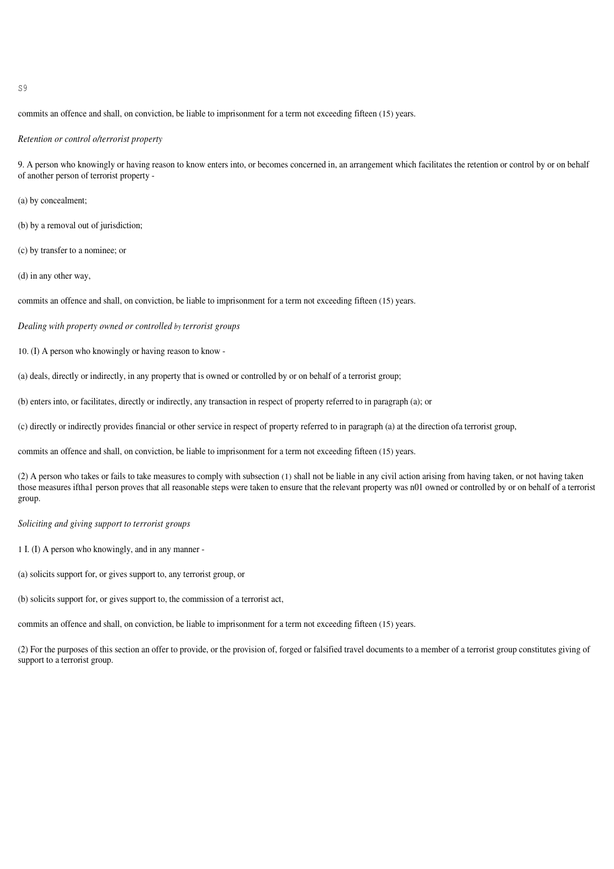$\mathcal{S}^{\mathcal{G}}$ 

commits an offence and shall, on conviction, be liable to imprisonment for a term not exceeding fifteen (15) years.

*Retention or control o/terrorist property*

9. A person who knowingly or having reason to know enters into, or becomes concerned in, an arrangement which facilitates the retention or control by or on behalf of another person of terrorist property -

(a) by concealment;

- (b) by a removal out of jurisdiction;
- (c) by transfer to a nominee; or

(d) in any other way,

commits an offence and shall, on conviction, be liable to imprisonment for a term not exceeding fifteen (15) years.

*Dealing with property owned or controlled by terrorist groups*

10. (I) A person who knowingly or having reason to know -

(a) deals, directly or indirectly, in any property that is owned or controlled by or on behalf of a terrorist group;

(b) enters into, or facilitates, directly or indirectly, any transaction in respect of property referred to in paragraph (a); or

(c) directly or indirectly provides financial or other service in respect of property referred to in paragraph (a) at the direction ofa terrorist group,

commits an offence and shall, on conviction, be liable to imprisonment for a term not exceeding fifteen (15) years.

(2) A person who takes or fails to take measures to comply with subsection (1) shall not be liable in any civil action arising from having taken, or not having taken those measures iftha1 person proves that all reasonable steps were taken to ensure that the relevant property was n01 owned or controlled by or on behalf of a terrorist group.

*Soliciting and giving support to terrorist groups*

1 I. (I) A person who knowingly, and in any manner -

(a) solicits support for, or gives support to, any terrorist group, or

(b) solicits support for, or gives support to, the commission of a terrorist act,

commits an offence and shall, on conviction, be liable to imprisonment for a term not exceeding fifteen (15) years.

(2) For the purposes of this section an offer to provide, or the provision of, forged or falsified travel documents to a member of a terrorist group constitutes giving of support to a terrorist group.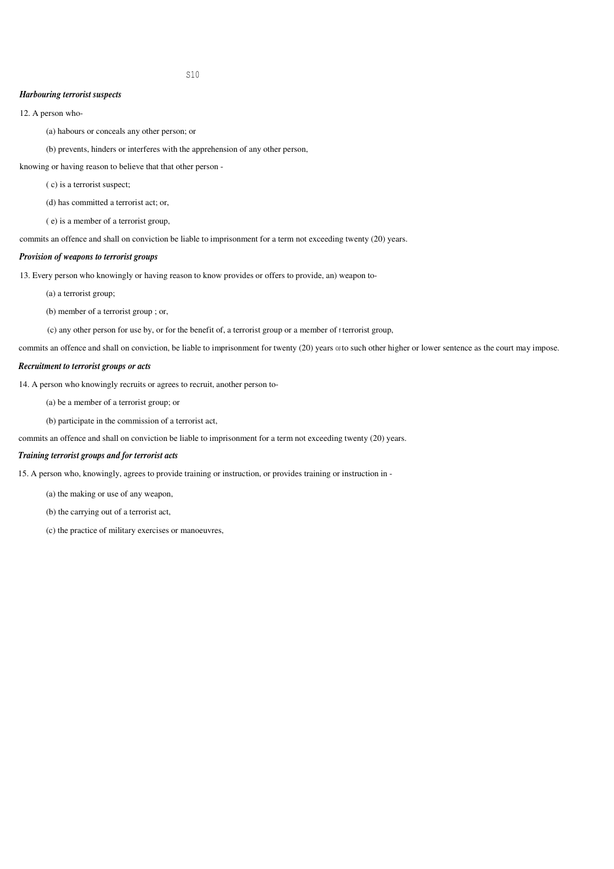## *Harbouring terrorist suspects*

12. A person who-

(a) habours or conceals any other person; or

(b) prevents, hinders or interferes with the apprehension of any other person,

knowing or having reason to believe that that other person -

( c) is a terrorist suspect;

(d) has committed a terrorist act; or,

( e) is a member of a terrorist group,

commits an offence and shall on conviction be liable to imprisonment for a term not exceeding twenty (20) years.

# *Provision of weapons to terrorist groups*

13. Every person who knowingly or having reason to know provides or offers to provide, an) weapon to-

(a) a terrorist group;

(b) member of a terrorist group ; or,

(c) any other person for use by, or for the benefit of, a terrorist group or a member of f terrorist group,

commits an offence and shall on conviction, be liable to imprisonment for twenty (20) years ofto such other higher or lower sentence as the court may impose.

# *Recruitment to terrorist groups or acts*

14. A person who knowingly recruits or agrees to recruit, another person to-

(a) be a member of a terrorist group; or

(b) participate in the commission of a terrorist act,

commits an offence and shall on conviction be liable to imprisonment for a term not exceeding twenty (20) years.

# *Training terrorist groups and for terrorist acts*

15. A person who, knowingly, agrees to provide training or instruction, or provides training or instruction in -

(a) the making or use of any weapon,

(b) the carrying out of a terrorist act,

(c) the practice of military exercises or manoeuvres,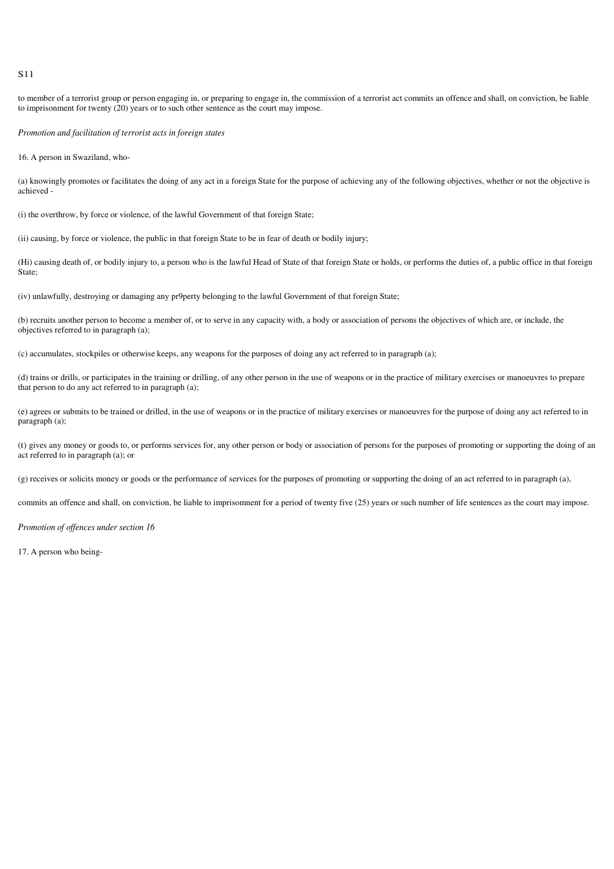to member of a terrorist group or person engaging in, or preparing to engage in, the commission of a terrorist act commits an offence and shall, on conviction, be liable to imprisonment for twenty (20) years or to such other sentence as the court may impose.

*Promotion and facilitation of terrorist acts in foreign states*

16. A person in Swaziland, who-

(a) knowingly promotes or facilitates the doing of any act in a foreign State for the purpose of achieving any of the following objectives, whether or not the objective is achieved -

(i) the overthrow, by force or violence, of the lawful Government of that foreign State;

(ii) causing, by force or violence, the public in that foreign State to be in fear of death or bodily injury;

(Hi) causing death of, or bodily injury to, a person who is the lawful Head of State of that foreign State or holds, or performs the duties of, a public office in that foreign State:

(iv) unlawfully, destroying or damaging any pr9perty belonging to the lawful Government of that foreign State;

(b) recruits another person to become a member of, or to serve in any capacity with, a body or association of persons the objectives of which are, or include, the objectives referred to in paragraph (a);

(c) accumulates, stockpiles or otherwise keeps, any weapons for the purposes of doing any act referred to in paragraph (a);

(d) trains or drills, or participates in the training or drilling, of any other person in the use of weapons or in the practice of military exercises or manoeuvres to prepare that person to do any act referred to in paragraph (a);

(e) agrees or submits to be trained or drilled, in the use of weapons or in the practice of military exercises or manoeuvres for the purpose of doing any act referred to in paragraph (a);

(t) gives any money or goods to, or performs services for, any other person or body or association of persons for the purposes of promoting or supporting the doing of an act referred to in paragraph (a); or

(g) receives or solicits money or goods or the performance of services for the purposes of promoting or supporting the doing of an act referred to in paragraph (a),

commits an offence and shall, on conviction, be liable to imprisomnent for a period of twenty five (25) years or such number of life sentences as the court may impose.

*Promotion of offences under section 16*

17. A person who being-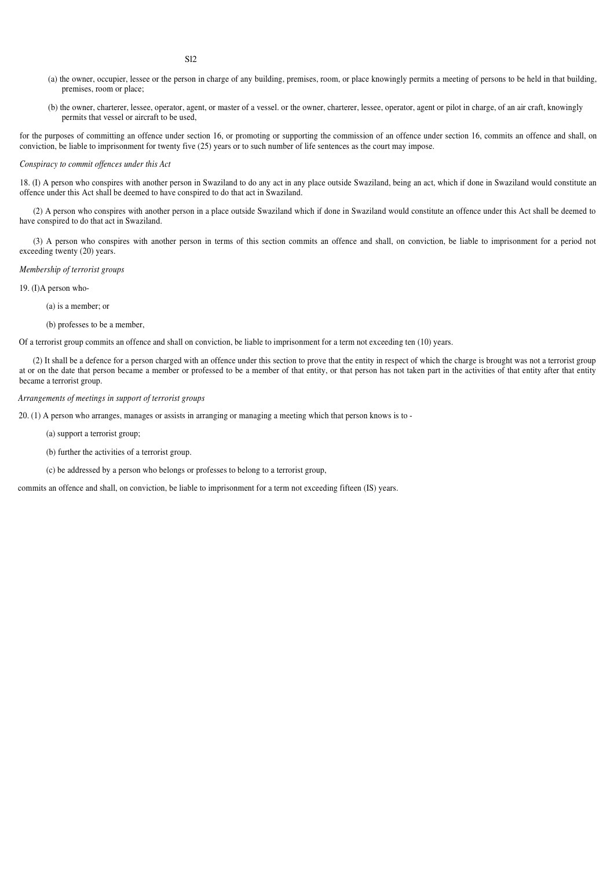- (a) the owner, occupier, lessee or the person in charge of any building, premises, room, or place knowingly permits a meeting of persons to be held in that building, premises, room or place;
- (b) the owner, charterer, lessee, operator, agent, or master of a vessel. or the owner, charterer, lessee, operator, agent or pilot in charge, of an air craft, knowingly permits that vessel or aircraft to be used,

for the purposes of committing an offence under section 16, or promoting or supporting the commission of an offence under section 16, commits an offence and shall, on conviction, be liable to imprisonment for twenty five (25) years or to such number of life sentences as the court may impose.

# *Conspiracy to commit offences under this Act*

18. (I) A person who conspires with another person in Swaziland to do any act in any place outside Swaziland, being an act, which if done in Swaziland would constitute an offence under this Act shall be deemed to have conspired to do that act in Swaziland.

(2) A person who conspires with another person in a place outside Swaziland which if done in Swaziland would constitute an offence under this Act shall be deemed to have conspired to do that act in Swaziland.

(3) A person who conspires with another person in terms of this section commits an offence and shall, on conviction, be liable to imprisonment for a period not exceeding twenty (20) years.

#### *Membership of terrorist groups*

19. (I)A person who-

(a) is a member; or

(b) professes to be a member,

Of a terrorist group commits an offence and shall on conviction, be liable to imprisonment for a term not exceeding ten (10) years.

(2) It shall be a defence for a person charged with an offence under this section to prove that the entity in respect of which the charge is brought was not a terrorist group at or on the date that person became a member or professed to be a member of that entity, or that person has not taken part in the activities of that entity after that entity became a terrorist group.

## *Arrangements of meetings in support of terrorist groups*

20. (1) A person who arranges, manages or assists in arranging or managing a meeting which that person knows is to -

(a) support a terrorist group;

(b) further the activities of a terrorist group.

(c) be addressed by a person who belongs or professes to belong to a terrorist group,

commits an offence and shall, on conviction, be liable to imprisonment for a term not exceeding fifteen (IS) years.

Sl2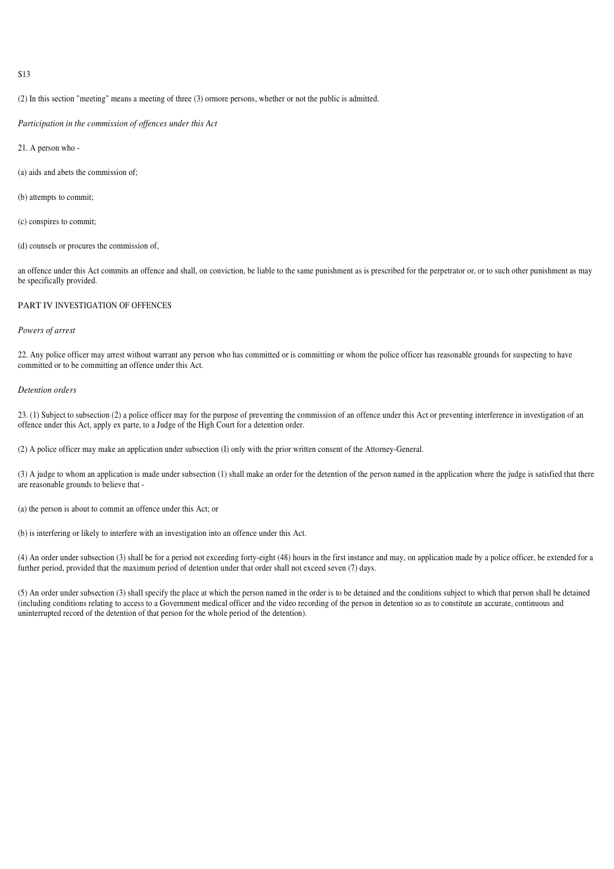(2) In this section "meeting" means a meeting of three (3) ormore persons, whether or not the public is admitted.

*Participation in the commission of offences under this Act*

21. A person who -

(a) aids and abets the commission of;

(b) attempts to commit;

(c) conspires to commit;

(d) counsels or procures the commission of,

an offence under this Act commits an offence and shall, on conviction, be liable to the same punishment as is prescribed for the perpetrator or, or to such other punishment as may be specifically provided.

# PART IV INVESTIGATION OF OFFENCES

# *Powers of arrest*

22. Any police officer may arrest without warrant any person who has committed or is committing or whom the police officer has reasonable grounds for suspecting to have committed or to be committing an offence under this Act.

# *Detention orders*

23. (1) Subject to subsection (2) a police officer may for the purpose of preventing the commission of an offence under this Act or preventing interference in investigation of an offence under this Act, apply ex parte, to a Judge of the High Court for a detention order.

(2) A police officer may make an application under subsection (I) only with the prior written consent of the Attorney-General.

(3) A judge to whom an application is made under subsection (1) shall make an order for the detention of the person named in the application where the judge is satisfied that there are reasonable grounds to believe that -

(a) the person is about to commit an offence under this Act; or

(b) is interfering or likely to interfere with an investigation into an offence under this Act.

(4) An order under subsection (3) shall be for a period not exceeding forty-eight (48) hours in the first instance and may, on application made by a police officer, be extended for a further period, provided that the maximum period of detention under that order shall not exceed seven (7) days.

(5) An order under subsection (3) shall specify the place at which the person named in the order is to be detained and the conditions subject to which that person shall be detained (including conditions relating to access to a Government medical officer and the video recording of the person in detention so as to constitute an accurate, continuous and uninterrupted record of the detention of that person for the whole period of the detention).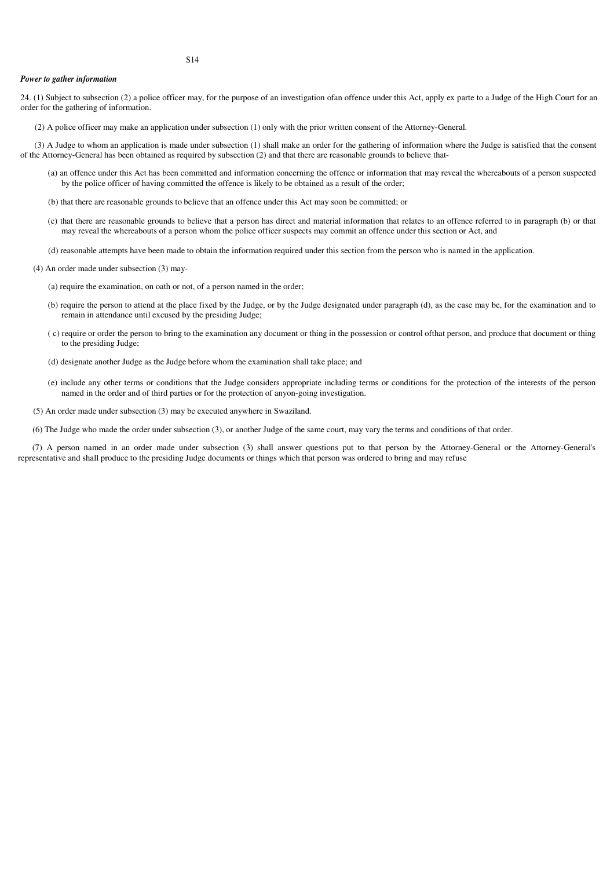# *Power to gather information*

24. (1) Subject to subsection (2) a police officer may, for the purpose of an investigation ofan offence under this Act, apply ex parte to a Judge of the High Court for an order for the gathering of information.

(2) A police officer may make an application under subsection (1) only with the prior written consent of the Attorney-General.

(3) A Judge to whom an application is made under subsection (1) shall make an order for the gathering of information where the Judge is satisfied that the consent of the Attorney-General has been obtained as required by subsection (2) and that there are reasonable grounds to believe that-

- (a) an offence under this Act has been committed and information concerning the offence or information that may reveal the whereabouts of a person suspected by the police officer of having committed the offence is likely to be obtained as a result of the order;
- (b) that there are reasonable grounds to believe that an offence under this Act may soon be committed; or
- (c) that there are reasonable grounds to believe that a person has direct and material information that relates to an offence referred to in paragraph (b) or that may reveal the whereabouts of a person whom the police officer suspects may commit an offence under this section or Act, and
- (d) reasonable attempts have been made to obtain the information required under this section from the person who is named in the application.
- (4) An order made under subsection (3) may-
	- (a) require the examination, on oath or not, of a person named in the order;
	- (b) require the person to attend at the place fixed by the Judge, or by the Judge designated under paragraph (d), as the case may be, for the examination and to remain in attendance until excused by the presiding Judge;
	- ( c) require or order the person to bring to the examination any document or thing in the possession or control ofthat person, and produce that document or thing to the presiding Judge;
	- (d) designate another Judge as the Judge before whom the examination shall take place; and
	- (e) include any other terms or conditions that the Judge considers appropriate including terms or conditions for the protection of the interests of the person named in the order and of third parties or for the protection of anyon-going investigation.
- (5) An order made under subsection (3) may be executed anywhere in Swaziland.
- (6) The Judge who made the order under subsection (3), or another Judge of the same court, may vary the terms and conditions of that order.

(7) A person named in an order made under subsection (3) shall answer questions put to that person by the Attorney-General or the Attorney-General's representative and shall produce to the presiding Judge documents or things which that person was ordered to bring and may refuse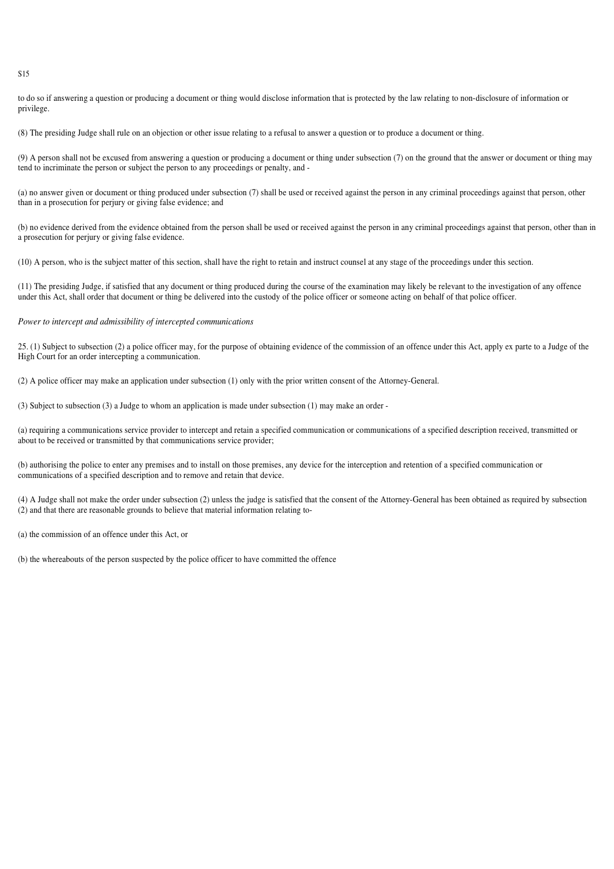to do so if answering a question or producing a document or thing would disclose information that is protected by the law relating to non-disclosure of information or privilege.

(8) The presiding Judge shall rule on an objection or other issue relating to a refusal to answer a question or to produce a document or thing.

(9) A person shall not be excused from answering a question or producing a document or thing under subsection (7) on the ground that the answer or document or thing may tend to incriminate the person or subject the person to any proceedings or penalty, and -

(a) no answer given or document or thing produced under subsection (7) shall be used or received against the person in any criminal proceedings against that person, other than in a prosecution for perjury or giving false evidence; and

(b) no evidence derived from the evidence obtained from the person shall be used or received against the person in any criminal proceedings against that person, other than in a prosecution for perjury or giving false evidence.

(10) A person, who is the subject matter of this section, shall have the right to retain and instruct counsel at any stage of the proceedings under this section.

(11) The presiding Judge, if satisfied that any document or thing produced during the course of the examination may likely be relevant to the investigation of any offence under this Act, shall order that document or thing be delivered into the custody of the police officer or someone acting on behalf of that police officer.

# *Power to intercept and admissibility of intercepted communications*

25. (1) Subject to subsection (2) a police officer may, for the purpose of obtaining evidence of the commission of an offence under this Act, apply ex parte to a Judge of the High Court for an order intercepting a communication.

(2) A police officer may make an application under subsection (1) only with the prior written consent of the Attorney-General.

(3) Subject to subsection (3) a Judge to whom an application is made under subsection (1) may make an order -

(a) requiring a communications service provider to intercept and retain a specified communication or communications of a specified description received, transmitted or about to be received or transmitted by that communications service provider;

(b) authorising the police to enter any premises and to install on those premises, any device for the interception and retention of a specified communication or communications of a specified description and to remove and retain that device.

(4) A Judge shall not make the order under subsection (2) unless the judge is satisfied that the consent of the Attorney-General has been obtained as required by subsection (2) and that there are reasonable grounds to believe that material information relating to-

(a) the commission of an offence under this Act, or

(b) the whereabouts of the person suspected by the police officer to have committed the offence

S15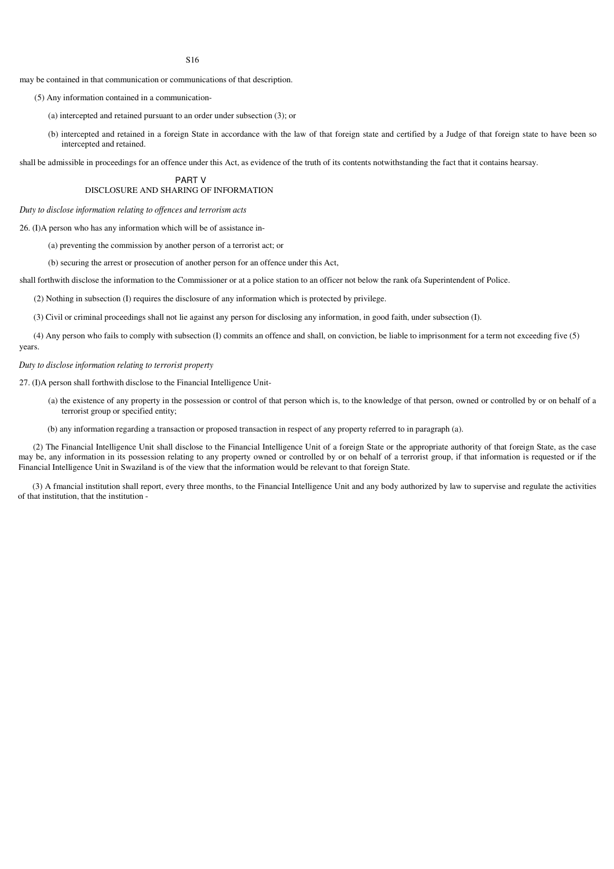may be contained in that communication or communications of that description.

(5) Any information contained in a communication-

(a) intercepted and retained pursuant to an order under subsection (3); or

(b) intercepted and retained in a foreign State in accordance with the law of that foreign state and certified by a Judge of that foreign state to have been so intercepted and retained.

shall be admissible in proceedings for an offence under this Act, as evidence of the truth of its contents notwithstanding the fact that it contains hearsay.

PART V DISCLOSURE AND SHARING OF INFORMATION

*Duty to disclose information relating to of ences and terrorism acts*

26. (I)A person who has any information which will be of assistance in-

(a) preventing the commission by another person of a terrorist act; or

(b) securing the arrest or prosecution of another person for an offence under this Act,

shall forthwith disclose the information to the Commissioner or at a police station to an officer not below the rank ofa Superintendent of Police.

(2) Nothing in subsection (I) requires the disclosure of any information which is protected by privilege.

(3) Civil or criminal proceedings shall not lie against any person for disclosing any information, in good faith, under subsection (I).

(4) Any person who fails to comply with subsection (I) commits an offence and shall, on conviction, be liable to imprisonment for a term not exceeding five (5) years.

# *Duty to disclose information relating to terrorist property*

27. (I)A person shall forthwith disclose to the Financial Intelligence Unit-

- (a) the existence of any property in the possession or control of that person which is, to the knowledge of that person, owned or controlled by or on behalf of a terrorist group or specified entity;
- (b) any information regarding a transaction or proposed transaction in respect of any property referred to in paragraph (a).

(2) The Financial Intelligence Unit shall disclose to the Financial Intelligence Unit of a foreign State or the appropriate authority of that foreign State, as the case may be, any information in its possession relating to any property owned or controlled by or on behalf of a terrorist group, if that information is requested or if the Financial Intelligence Unit in Swaziland is of the view that the information would be relevant to that foreign State.

(3) A fmancial institution shall report, every three months, to the Financial Intelligence Unit and any body authorized by law to supervise and regulate the activities of that institution, that the institution -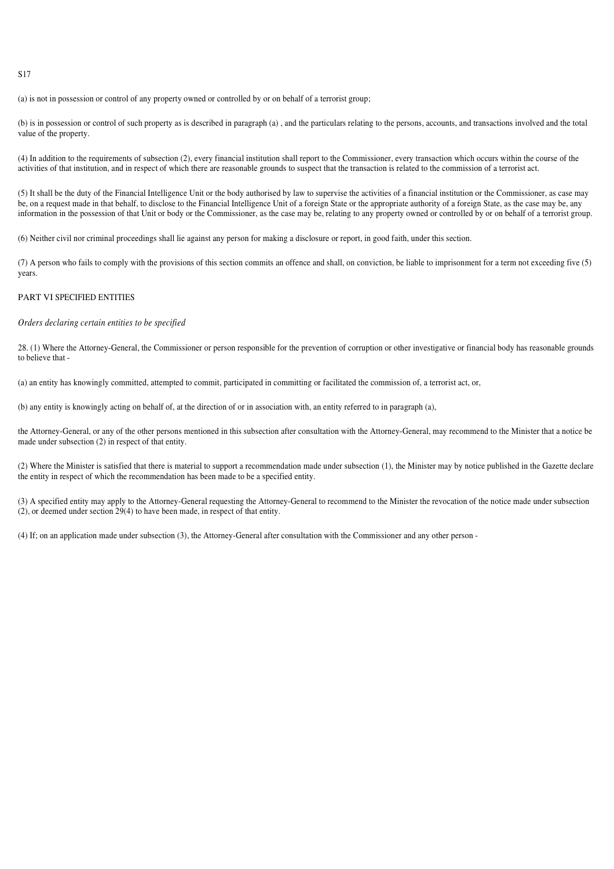(a) is not in possession or control of any property owned or controlled by or on behalf of a terrorist group;

(b) is in possession or control of such property as is described in paragraph (a) , and the particulars relating to the persons, accounts, and transactions involved and the total value of the property.

(4) In addition to the requirements of subsection (2), every financial institution shall report to the Commissioner, every transaction which occurs within the course of the activities of that institution, and in respect of which there are reasonable grounds to suspect that the transaction is related to the commission of a terrorist act.

(5) It shall be the duty of the Financial Intelligence Unit or the body authorised by law to supervise the activities of a financial institution or the Commissioner, as case may be, on a request made in that behalf, to disclose to the Financial Intelligence Unit of a foreign State or the appropriate authority of a foreign State, as the case may be, any information in the possession of that Unit or body or the Commissioner, as the case may be, relating to any property owned or controlled by or on behalf of a terrorist group.

(6) Neither civil nor criminal proceedings shall lie against any person for making a disclosure or report, in good faith, under this section.

(7) A person who fails to comply with the provisions of this section commits an offence and shall, on conviction, be liable to imprisonment for a term not exceeding five (5) years.

# PART VI SPECIFIED ENTITIES

# *Orders declaring certain entities to be specified*

28. (1) Where the Attorney-General, the Commissioner or person responsible for the prevention of corruption or other investigative or financial body has reasonable grounds to believe that -

(a) an entity has knowingly committed, attempted to commit, participated in committing or facilitated the commission of, a terrorist act, or,

(b) any entity is knowingly acting on behalf of, at the direction of or in association with, an entity referred to in paragraph (a),

the Attorney-General, or any of the other persons mentioned in this subsection after consultation with the Attorney-General, may recommend to the Minister that a notice be made under subsection (2) in respect of that entity.

(2) Where the Minister is satisfied that there is material to support a recommendation made under subsection (1), the Minister may by notice published in the Gazette declare the entity in respect of which the recommendation has been made to be a specified entity.

(3) A specified entity may apply to the Attorney-General requesting the Attorney-General to recommend to the Minister the revocation of the notice made under subsection (2), or deemed under section 29(4) to have been made, in respect of that entity.

(4) If; on an application made under subsection (3), the Attorney-General after consultation with the Commissioner and any other person -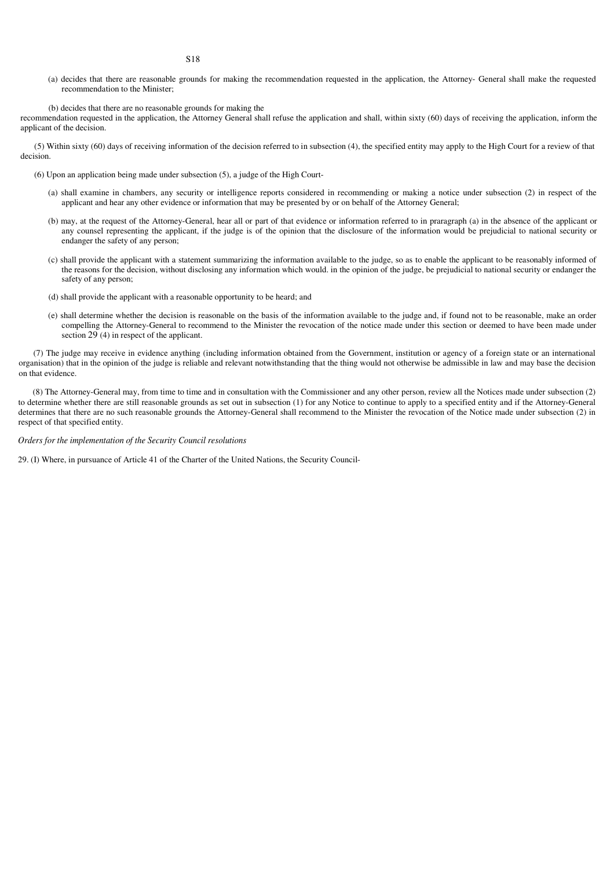(a) decides that there are reasonable grounds for making the recommendation requested in the application, the Attorney- General shall make the requested recommendation to the Minister;

(b) decides that there are no reasonable grounds for making the

recommendation requested in the application, the Attorney General shall refuse the application and shall, within sixty (60) days of receiving the application, inform the applicant of the decision.

(5) Within sixty (60) days of receiving information of the decision referred to in subsection (4), the specified entity may apply to the High Court for a review of that decision.

- (6) Upon an application being made under subsection (5), a judge of the High Court-
	- (a) shall examine in chambers, any security or intelligence reports considered in recommending or making a notice under subsection (2) in respect of the applicant and hear any other evidence or information that may be presented by or on behalf of the Attorney General;
	- (b) may, at the request of the Attorney-General, hear all or part of that evidence or information referred to in praragraph (a) in the absence of the applicant or any counsel representing the applicant, if the judge is of the opinion that the disclosure of the information would be prejudicial to national security or endanger the safety of any person;
	- (c) shall provide the applicant with a statement summarizing the information available to the judge, so as to enable the applicant to be reasonably informed of the reasons for the decision, without disclosing any information which would. in the opinion of the judge, be prejudicial to national security or endanger the safety of any person;
	- (d) shall provide the applicant with a reasonable opportunity to be heard; and
	- (e) shall determine whether the decision is reasonable on the basis of the information available to the judge and, if found not to be reasonable, make an order compelling the Attorney-General to recommend to the Minister the revocation of the notice made under this section or deemed to have been made under section 29 (4) in respect of the applicant.

(7) The judge may receive in evidence anything (including information obtained from the Government, institution or agency of a foreign state or an international organisation) that in the opinion of the judge is reliable and relevant notwithstanding that the thing would not otherwise be admissible in law and may base the decision on that evidence.

(8) The Attorney-General may, from time to time and in consultation with the Commissioner and any other person, review all the Notices made under subsection (2) to determine whether there are still reasonable grounds as set out in subsection (1) for any Notice to continue to apply to a specified entity and if the Attorney-General determines that there are no such reasonable grounds the Attorney-General shall recommend to the Minister the revocation of the Notice made under subsection (2) in respect of that specified entity.

*Orders for the implementation of the Security Council resolutions*

29. (I) Where, in pursuance of Article 41 of the Charter of the United Nations, the Security Council-

S18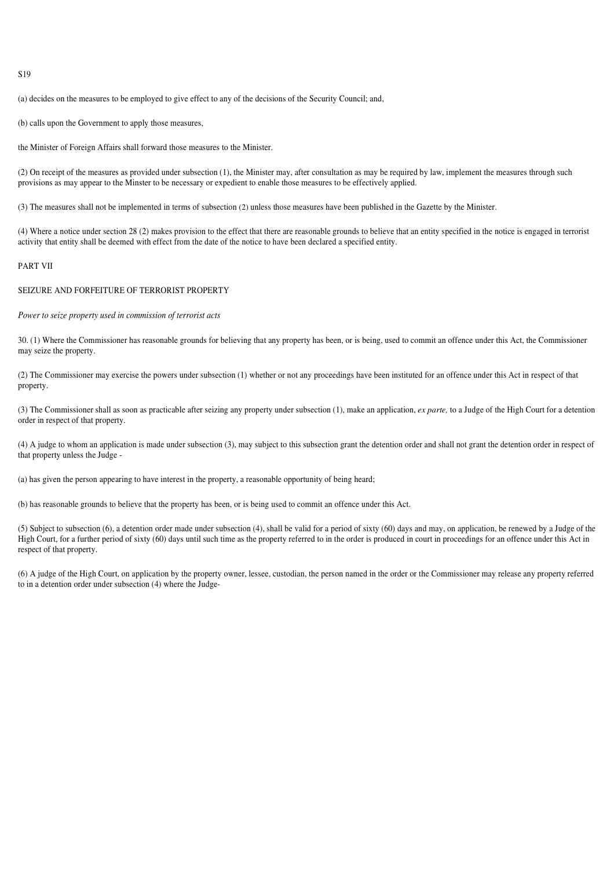(a) decides on the measures to be employed to give effect to any of the decisions of the Security Council; and,

(b) calls upon the Government to apply those measures,

the Minister of Foreign Affairs shall forward those measures to the Minister.

(2) On receipt of the measures as provided under subsection (1), the Minister may, after consultation as may be required by law, implement the measures through such provisions as may appear to the Minster to be necessary or expedient to enable those measures to be effectively applied.

(3) The measures shall not be implemented in terms of subsection (2) unless those measures have been published in the Gazette by the Minister.

(4) Where a notice under section 28 (2) makes provision to the effect that there are reasonable grounds to believe that an entity specified in the notice is engaged in terrorist activity that entity shall be deemed with effect from the date of the notice to have been declared a specified entity.

# PART VII

# SEIZURE AND FORFEITURE OF TERRORIST PROPERTY

*Power to seize property used in commission of terrorist acts*

30. (1) Where the Commissioner has reasonable grounds for believing that any property has been, or is being, used to commit an offence under this Act, the Commissioner may seize the property.

(2) The Commissioner may exercise the powers under subsection (1) whether or not any proceedings have been instituted for an offence under this Act in respect of that property.

(3) The Commissioner shall as soon as practicable after seizing any property under subsection (1), make an application, *ex parte,* to a Judge of the High Court for a detention order in respect of that property.

(4) A judge to whom an application is made under subsection (3), may subject to this subsection grant the detention order and shall not grant the detention order in respect of that property unless the Judge -

(a) has given the person appearing to have interest in the property, a reasonable opportunity of being heard;

(b) has reasonable grounds to believe that the property has been, or is being used to commit an offence under this Act.

(5) Subject to subsection (6), a detention order made under subsection (4), shall be valid for a period of sixty (60) days and may, on application, be renewed by a Judge of the High Court, for a further period of sixty (60) days until such time as the property referred to in the order is produced in court in proceedings for an offence under this Act in respect of that property.

(6) A judge of the High Court, on application by the property owner, lessee, custodian, the person named in the order or the Commissioner may release any property referred to in a detention order under subsection (4) where the Judge-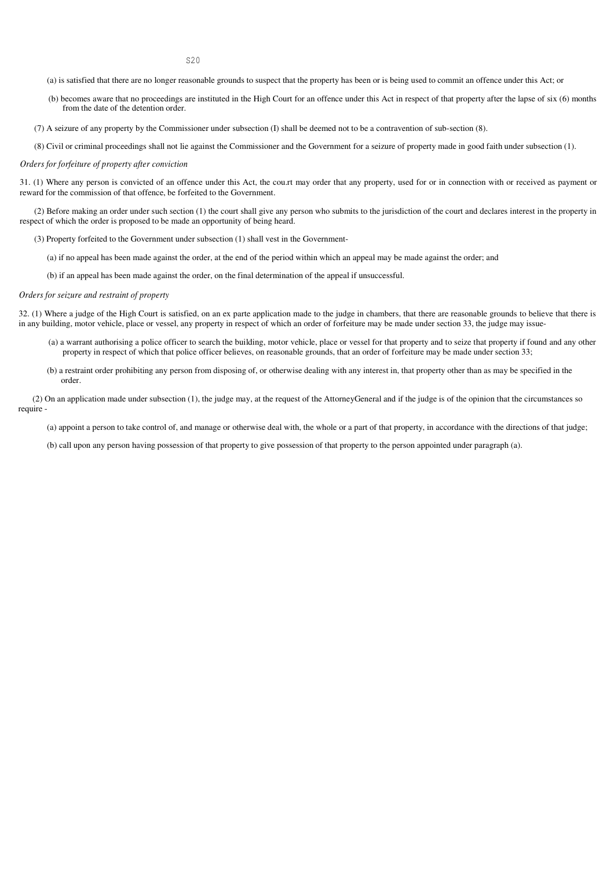- (a) is satisfied that there are no longer reasonable grounds to suspect that the property has been or is being used to commit an offence under this Act; or
- (b) becomes aware that no proceedings are instituted in the High Court for an offence under this Act in respect of that property after the lapse of six (6) months from the date of the detention order.
- (7) A seizure of any property by the Commissioner under subsection (I) shall be deemed not to be a contravention of sub-section (8).
- (8) Civil or criminal proceedings shall not lie against the Commissioner and the Government for a seizure of property made in good faith under subsection (1).

#### *Orders for forfeiture of property after conviction*

31. (1) Where any person is convicted of an offence under this Act, the cou.rt may order that any property, used for or in connection with or received as payment or reward for the commission of that offence, be forfeited to the Government.

(2) Before making an order under such section (1) the court shall give any person who submits to the jurisdiction of the court and declares interest in the property in respect of which the order is proposed to be made an opportunity of being heard.

(3) Property forfeited to the Government under subsection (1) shall vest in the Government-

(a) if no appeal has been made against the order, at the end of the period within which an appeal may be made against the order; and

(b) if an appeal has been made against the order, on the final determination of the appeal if unsuccessful.

#### *Orders for seizure and restraint of property*

32. (1) Where a judge of the High Court is satisfied, on an ex parte application made to the judge in chambers, that there are reasonable grounds to believe that there is in any building, motor vehicle, place or vessel, any property in respect of which an order of forfeiture may be made under section 33, the judge may issue-

- (a) a warrant authorising a police officer to search the building, motor vehicle, place or vessel for that property and to seize that property if found and any other property in respect of which that police officer believes, on reasonable grounds, that an order of forfeiture may be made under section 33;
- (b) a restraint order prohibiting any person from disposing of, or otherwise dealing with any interest in, that property other than as may be specified in the order.

(2) On an application made under subsection (1), the judge may, at the request of the AttorneyGeneral and if the judge is of the opinion that the circumstances so require -

(a) appoint a person to take control of, and manage or otherwise deal with, the whole or a part of that property, in accordance with the directions of that judge;

(b) call upon any person having possession of that property to give possession of that property to the person appointed under paragraph (a).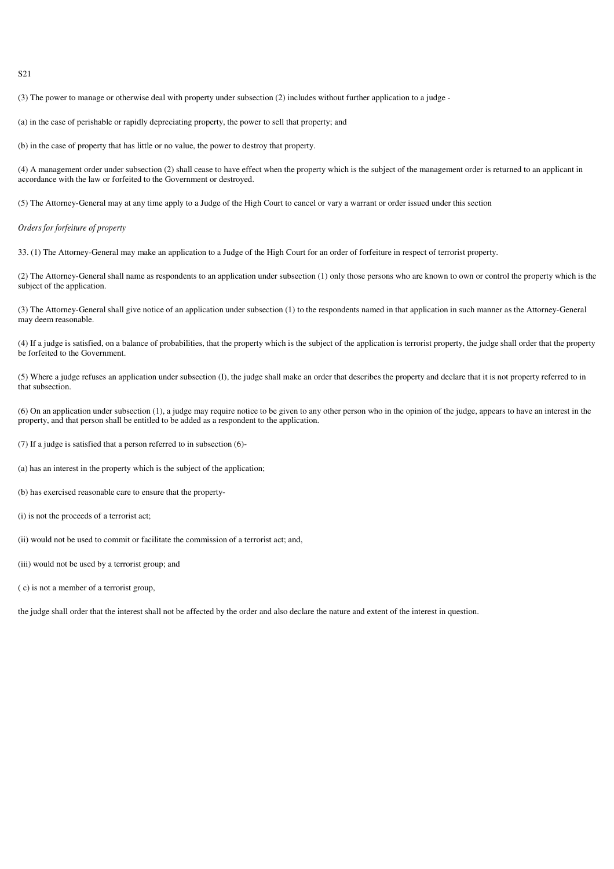(3) The power to manage or otherwise deal with property under subsection (2) includes without further application to a judge -

(a) in the case of perishable or rapidly depreciating property, the power to sell that property; and

(b) in the case of property that has little or no value, the power to destroy that property.

(4) A management order under subsection (2) shall cease to have effect when the property which is the subject of the management order is returned to an applicant in accordance with the law or forfeited to the Government or destroyed.

(5) The Attorney-General may at any time apply to a Judge of the High Court to cancel or vary a warrant or order issued under this section

#### *Orders for forfeiture of property*

33. (1) The Attorney-General may make an application to a Judge of the High Court for an order of forfeiture in respect of terrorist property.

(2) The Attorney-General shall name as respondents to an application under subsection (1) only those persons who are known to own or control the property which is the subject of the application.

(3) The Attorney-General shall give notice of an application under subsection (1) to the respondents named in that application in such manner as the Attorney-General may deem reasonable.

(4) If a judge is satisfied, on a balance of probabilities, that the property which is the subject of the application is terrorist property, the judge shall order that the property be forfeited to the Government.

(5) Where a judge refuses an application under subsection (I), the judge shall make an order that describes the property and declare that it is not property referred to in that subsection.

(6) On an application under subsection (1), a judge may require notice to be given to any other person who in the opinion of the judge, appears to have an interest in the property, and that person shall be entitled to be added as a respondent to the application.

(7) If a judge is satisfied that a person referred to in subsection (6)-

(a) has an interest in the property which is the subject of the application;

(b) has exercised reasonable care to ensure that the property-

(i) is not the proceeds of a terrorist act;

(ii) would not be used to commit or facilitate the commission of a terrorist act; and,

(iii) would not be used by a terrorist group; and

( c) is not a member of a terrorist group,

the judge shall order that the interest shall not be affected by the order and also declare the nature and extent of the interest in question.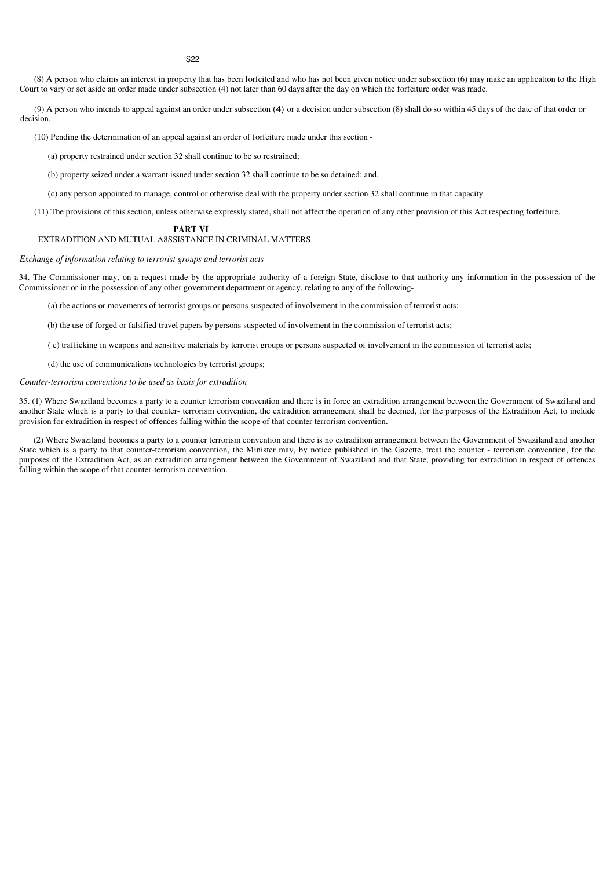(8) A person who claims an interest in property that has been forfeited and who has not been given notice under subsection (6) may make an application to the High Court to vary or set aside an order made under subsection (4) not later than 60 days after the day on which the forfeiture order was made.

(9) A person who intends to appeal against an order under subsection (4) or a decision under subsection (8) shall do so within 45 days of the date of that order or decision.

(10) Pending the determination of an appeal against an order of forfeiture made under this section -

(a) property restrained under section 32 shall continue to be so restrained;

(b) property seized under a warrant issued under section 32 shall continue to be so detained; and,

(c) any person appointed to manage, control or otherwise deal with the property under section 32 shall continue in that capacity.

(11) The provisions of this section, unless otherwise expressly stated, shall not affect the operation of any other provision of this Act respecting forfeiture.

#### **PART VI**

## EXTRADITION AND MUTUAL A8SSISTANCE IN CRIMINAL MATTERS

#### *Exchange of information relating to terrorist groups and terrorist acts*

34. The Commissioner may, on a request made by the appropriate authority of a foreign State, disclose to that authority any information in the possession of the Commissioner or in the possession of any other government department or agency, relating to any of the following-

(a) the actions or movements of terrorist groups or persons suspected of involvement in the commission of terrorist acts;

(b) the use of forged or falsified travel papers by persons suspected of involvement in the commission of terrorist acts;

( c) trafficking in weapons and sensitive materials by terrorist groups or persons suspected of involvement in the commission of terrorist acts;

(d) the use of communications technologies by terrorist groups;

## *Counter-terrorism conventions to be used as basis for extradition*

35. (1) Where Swaziland becomes a party to a counter terrorism convention and there is in force an extradition arrangement between the Government of Swaziland and another State which is a party to that counter- terrorism convention, the extradition arrangement shall be deemed, for the purposes of the Extradition Act, to include provision for extradition in respect of offences falling within the scope of that counter terrorism convention.

(2) Where Swaziland becomes a party to a counter terrorism convention and there is no extradition arrangement between the Government of Swaziland and another State which is a party to that counter-terrorism convention, the Minister may, by notice published in the Gazette, treat the counter - terrorism convention, for the purposes of the Extradition Act, as an extradition arrangement between the Government of Swaziland and that State, providing for extradition in respect of offences falling within the scope of that counter-terrorism convention.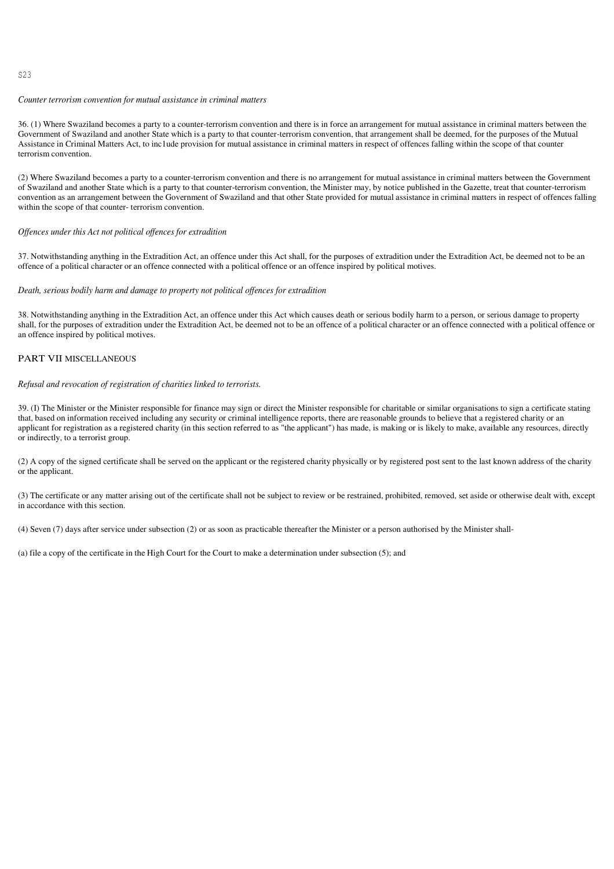#### $523$

# *Counter terrorism convention for mutual assistance in criminal matters*

36. (1) Where Swaziland becomes a party to a counter-terrorism convention and there is in force an arrangement for mutual assistance in criminal matters between the Government of Swaziland and another State which is a party to that counter-terrorism convention, that arrangement shall be deemed, for the purposes of the Mutual Assistance in Criminal Matters Act, to inc1ude provision for mutual assistance in criminal matters in respect of offences falling within the scope of that counter terrorism convention.

(2) Where Swaziland becomes a party to a counter-terrorism convention and there is no arrangement for mutual assistance in criminal matters between the Government of Swaziland and another State which is a party to that counter-terrorism convention, the Minister may, by notice published in the Gazette, treat that counter-terrorism convention as an arrangement between the Government of Swaziland and that other State provided for mutual assistance in criminal matters in respect of offences falling within the scope of that counter- terrorism convention.

## *Of ences under this Act not political of ences for extradition*

37. Notwithstanding anything in the Extradition Act, an offence under this Act shall, for the purposes of extradition under the Extradition Act, be deemed not to be an offence of a political character or an offence connected with a political offence or an offence inspired by political motives.

#### *Death, serious bodily harm and damage to property not political of ences for extradition*

38. Notwithstanding anything in the Extradition Act, an offence under this Act which causes death or serious bodily harm to a person, or serious damage to property shall, for the purposes of extradition under the Extradition Act, be deemed not to be an offence of a political character or an offence connected with a political offence or an offence inspired by political motives.

## PART VII MISCELLANEOUS

#### *Refusal and revocation of registration of charities linked to terrorists.*

39. (I) The Minister or the Minister responsible for finance may sign or direct the Minister responsible for charitable or similar organisations to sign a certificate stating that, based on information received including any security or criminal intelligence reports, there are reasonable grounds to believe that a registered charity or an applicant for registration as a registered charity (in this section referred to as "the applicant") has made, is making or is likely to make, available any resources, directly or indirectly, to a terrorist group.

(2) A copy of the signed certificate shall be served on the applicant or the registered charity physically or by registered post sent to the last known address of the charity or the applicant.

(3) The certificate or any matter arising out of the certificate shall not be subject to review or be restrained, prohibited, removed, set aside or otherwise dealt with, except in accordance with this section.

(4) Seven (7) days after service under subsection (2) or as soon as practicable thereafter the Minister or a person authorised by the Minister shall-

(a) file a copy of the certificate in the High Court for the Court to make a determination under subsection (5); and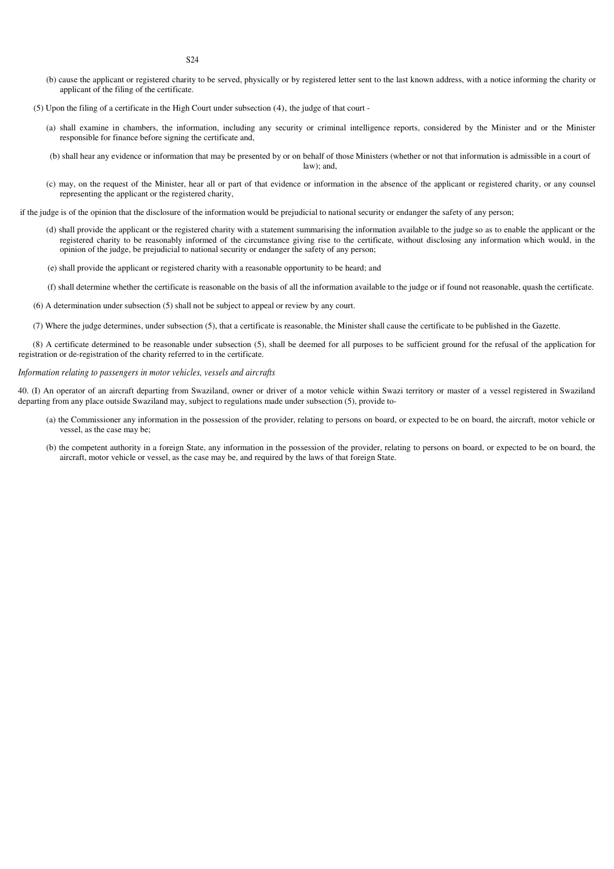- (b) cause the applicant or registered charity to be served, physically or by registered letter sent to the last known address, with a notice informing the charity or applicant of the filing of the certificate.
- (5) Upon the filing of a certificate in the High Court under subsection (4), the judge of that court
	- (a) shall examine in chambers, the information, including any security or criminal intelligence reports, considered by the Minister and or the Minister responsible for finance before signing the certificate and,
	- (b) shall hear any evidence or information that may be presented by or on behalf of those Ministers (whether or not that information is admissible in a court of law); and,
	- (c) may, on the request of the Minister, hear all or part of that evidence or information in the absence of the applicant or registered charity, or any counsel representing the applicant or the registered charity,

if the judge is of the opinion that the disclosure of the information would be prejudicial to national security or endanger the safety of any person;

- (d) shall provide the applicant or the registered charity with a statement summarising the information available to the judge so as to enable the applicant or the registered charity to be reasonably informed of the circumstance giving rise to the certificate, without disclosing any information which would, in the opinion of the judge, be prejudicial to national security or endanger the safety of any person;
- (e) shall provide the applicant or registered charity with a reasonable opportunity to be heard; and
- (f) shall determine whether the certificate is reasonable on the basis of all the information available to the judge or if found not reasonable, quash the certificate.
- (6) A determination under subsection (5) shall not be subject to appeal or review by any court.
- (7) Where the judge determines, under subsection (5), that a certificate is reasonable, the Minister shall cause the certificate to be published in the Gazette.

(8) A certificate determined to be reasonable under subsection (5), shall be deemed for all purposes to be sufficient ground for the refusal of the application for registration or de-registration of the charity referred to in the certificate.

#### *Information relating to passengers in motor vehicles, vessels and aircrafts*

40. (I) An operator of an aircraft departing from Swaziland, owner or driver of a motor vehicle within Swazi territory or master of a vessel registered in Swaziland departing from any place outside Swaziland may, subject to regulations made under subsection (5), provide to-

- (a) the Commissioner any information in the possession of the provider, relating to persons on board, or expected to be on board, the aircraft, motor vehicle or vessel, as the case may be;
- (b) the competent authority in a foreign State, any information in the possession of the provider, relating to persons on board, or expected to be on board, the aircraft, motor vehicle or vessel, as the case may be, and required by the laws of that foreign State.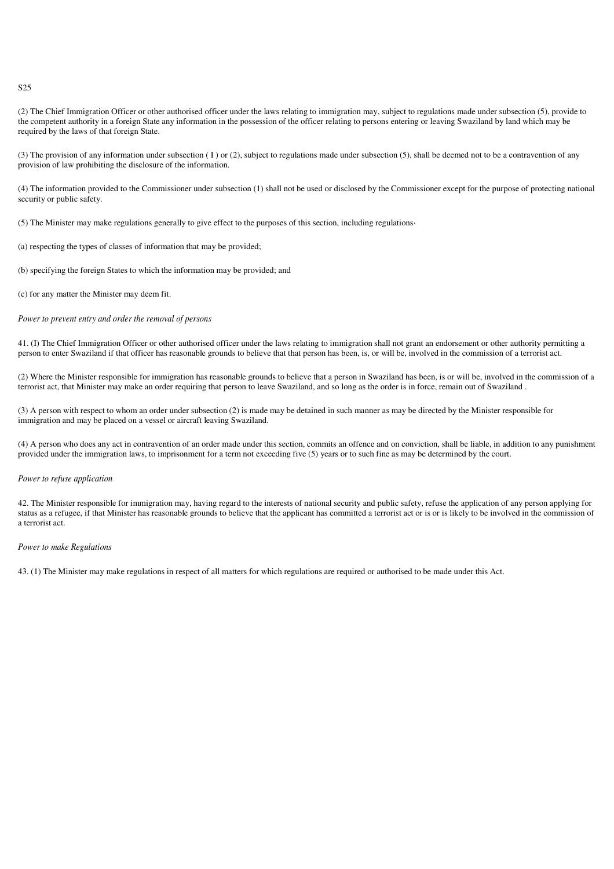(2) The Chief Immigration Officer or other authorised officer under the laws relating to immigration may, subject to regulations made under subsection (5), provide to the competent authority in a foreign State any information in the possession of the officer relating to persons entering or leaving Swaziland by land which may be required by the laws of that foreign State.

(3) The provision of any information under subsection ( I ) or (2), subject to regulations made under subsection (5), shall be deemed not to be a contravention of any provision of law prohibiting the disclosure of the information.

(4) The information provided to the Commissioner under subsection (1) shall not be used or disclosed by the Commissioner except for the purpose of protecting national security or public safety.

(5) The Minister may make regulations generally to give effect to the purposes of this section, including regulations·

(a) respecting the types of classes of information that may be provided;

(b) specifying the foreign States to which the information may be provided; and

(c) for any matter the Minister may deem fit.

#### *Power to prevent entry and order the removal of persons*

41. (I) The Chief Immigration Officer or other authorised officer under the laws relating to immigration shall not grant an endorsement or other authority permitting a person to enter Swaziland if that officer has reasonable grounds to believe that that person has been, is, or will be, involved in the commission of a terrorist act.

(2) Where the Minister responsible for immigration has reasonable grounds to believe that a person in Swaziland has been, is or will be, involved in the commission of a terrorist act, that Minister may make an order requiring that person to leave Swaziland, and so long as the order is in force, remain out of Swaziland .

(3) A person with respect to whom an order under subsection (2) is made may be detained in such manner as may be directed by the Minister responsible for immigration and may be placed on a vessel or aircraft leaving Swaziland.

(4) A person who does any act in contravention of an order made under this section, commits an offence and on conviction, shall be liable, in addition to any punishment provided under the immigration laws, to imprisonment for a term not exceeding five (5) years or to such fine as may be determined by the court.

# *Power to refuse application*

42. The Minister responsible for immigration may, having regard to the interests of national security and public safety, refuse the application of any person applying for status as a refugee, if that Minister has reasonable grounds to believe that the applicant has committed a terrorist act or is or is likely to be involved in the commission of a terrorist act.

# *Power to make Regulations*

43. (1) The Minister may make regulations in respect of all matters for which regulations are required or authorised to be made under this Act.